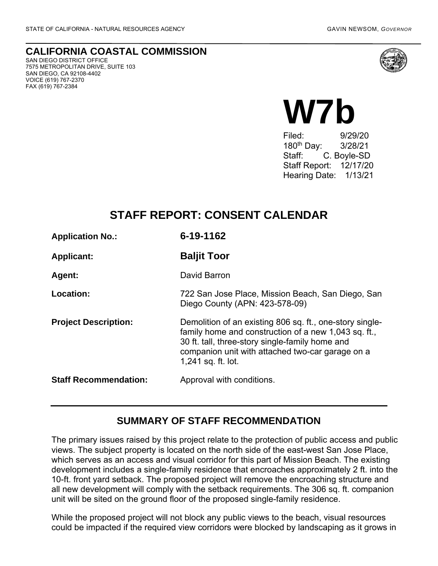**CALIFORNIA COASTAL COMMISSION** SAN DIEGO DISTRICT OFFICE

7575 METROPOLITAN DRIVE, SUITE 103 SAN DIEGO, CA 92108-4402 VOICE (619) 767-2370 FAX (619) 767-2384



# **W7b**

Filed: 9/29/20 180th Day: 3/28/21 Staff: C. Boyle-SD Staff Report: 12/17/20 Hearing Date: 1/13/21

# **STAFF REPORT: CONSENT CALENDAR**

| <b>Application No.:</b>      | 6-19-1162                                                                                                                                                                                                                                     |
|------------------------------|-----------------------------------------------------------------------------------------------------------------------------------------------------------------------------------------------------------------------------------------------|
| <b>Applicant:</b>            | <b>Baljit Toor</b>                                                                                                                                                                                                                            |
| Agent:                       | David Barron                                                                                                                                                                                                                                  |
| Location:                    | 722 San Jose Place, Mission Beach, San Diego, San<br>Diego County (APN: 423-578-09)                                                                                                                                                           |
| <b>Project Description:</b>  | Demolition of an existing 806 sq. ft., one-story single-<br>family home and construction of a new 1,043 sq. ft.,<br>30 ft. tall, three-story single-family home and<br>companion unit with attached two-car garage on a<br>1,241 sq. ft. lot. |
| <b>Staff Recommendation:</b> | Approval with conditions.                                                                                                                                                                                                                     |

### **SUMMARY OF STAFF RECOMMENDATION**

The primary issues raised by this project relate to the protection of public access and public views. The subject property is located on the north side of the east-west San Jose Place, which serves as an access and visual corridor for this part of Mission Beach. The existing development includes a single-family residence that encroaches approximately 2 ft. into the 10-ft. front yard setback. The proposed project will remove the encroaching structure and all new development will comply with the setback requirements. The 306 sq. ft. companion unit will be sited on the ground floor of the proposed single-family residence.

While the proposed project will not block any public views to the beach, visual resources could be impacted if the required view corridors were blocked by landscaping as it grows in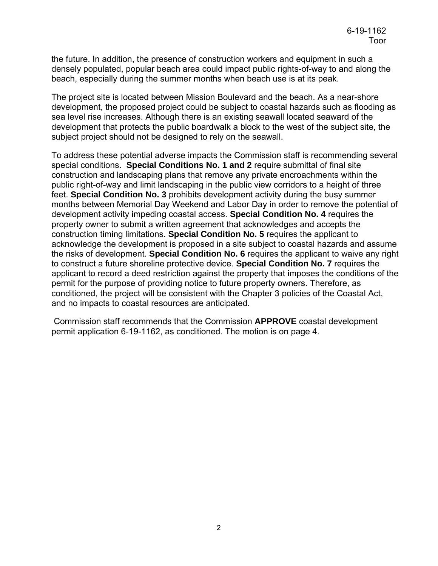the future. In addition, the presence of construction workers and equipment in such a densely populated, popular beach area could impact public rights-of-way to and along the beach, especially during the summer months when beach use is at its peak.

The project site is located between Mission Boulevard and the beach. As a near-shore development, the proposed project could be subject to coastal hazards such as flooding as sea level rise increases. Although there is an existing seawall located seaward of the development that protects the public boardwalk a block to the west of the subject site, the subject project should not be designed to rely on the seawall.

To address these potential adverse impacts the Commission staff is recommending several special conditions. **Special Conditions No. 1 and 2** require submittal of final site construction and landscaping plans that remove any private encroachments within the public right-of-way and limit landscaping in the public view corridors to a height of three feet. **Special Condition No. 3** prohibits development activity during the busy summer months between Memorial Day Weekend and Labor Day in order to remove the potential of development activity impeding coastal access. **Special Condition No. 4** requires the property owner to submit a written agreement that acknowledges and accepts the construction timing limitations. **Special Condition No. 5** requires the applicant to acknowledge the development is proposed in a site subject to coastal hazards and assume the risks of development. **Special Condition No. 6** requires the applicant to waive any right to construct a future shoreline protective device. **Special Condition No. 7** requires the applicant to record a deed restriction against the property that imposes the conditions of the permit for the purpose of providing notice to future property owners. Therefore, as conditioned, the project will be consistent with the Chapter 3 policies of the Coastal Act, and no impacts to coastal resources are anticipated.

Commission staff recommends that the Commission **APPROVE** coastal development permit application 6-19-1162, as conditioned. The motion is on page 4.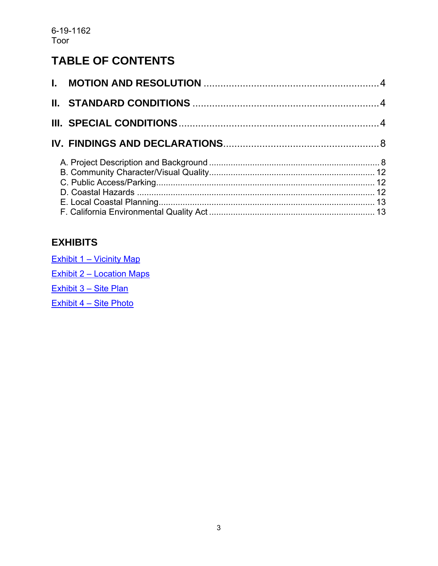# **TABLE OF CONTENTS**

# **EXHIBITS**

| Exhibit 1 – Vicinity Map         |
|----------------------------------|
| <b>Exhibit 2 - Location Maps</b> |
| Exhibit 3 - Site Plan            |
| Exhibit 4 - Site Photo           |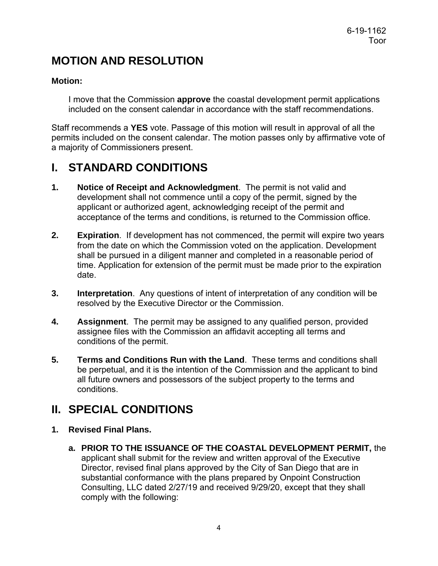# <span id="page-3-0"></span>**MOTION AND RESOLUTION**

#### **Motion:**

I move that the Commission **approve** the coastal development permit applications included on the consent calendar in accordance with the staff recommendations.

Staff recommends a **YES** vote. Passage of this motion will result in approval of all the permits included on the consent calendar. The motion passes only by affirmative vote of a majority of Commissioners present.

# <span id="page-3-1"></span>**I. STANDARD CONDITIONS**

- **1. Notice of Receipt and Acknowledgment**. The permit is not valid and development shall not commence until a copy of the permit, signed by the applicant or authorized agent, acknowledging receipt of the permit and acceptance of the terms and conditions, is returned to the Commission office.
- **2. Expiration**. If development has not commenced, the permit will expire two years from the date on which the Commission voted on the application. Development shall be pursued in a diligent manner and completed in a reasonable period of time. Application for extension of the permit must be made prior to the expiration date.
- **3. Interpretation**. Any questions of intent of interpretation of any condition will be resolved by the Executive Director or the Commission.
- **4. Assignment**. The permit may be assigned to any qualified person, provided assignee files with the Commission an affidavit accepting all terms and conditions of the permit.
- **5. Terms and Conditions Run with the Land**. These terms and conditions shall be perpetual, and it is the intention of the Commission and the applicant to bind all future owners and possessors of the subject property to the terms and conditions.

# <span id="page-3-2"></span>**II. SPECIAL CONDITIONS**

- **1. Revised Final Plans.**
	- **a. PRIOR TO THE ISSUANCE OF THE COASTAL DEVELOPMENT PERMIT,** the applicant shall submit for the review and written approval of the Executive Director, revised final plans approved by the City of San Diego that are in substantial conformance with the plans prepared by Onpoint Construction Consulting, LLC dated 2/27/19 and received 9/29/20, except that they shall comply with the following: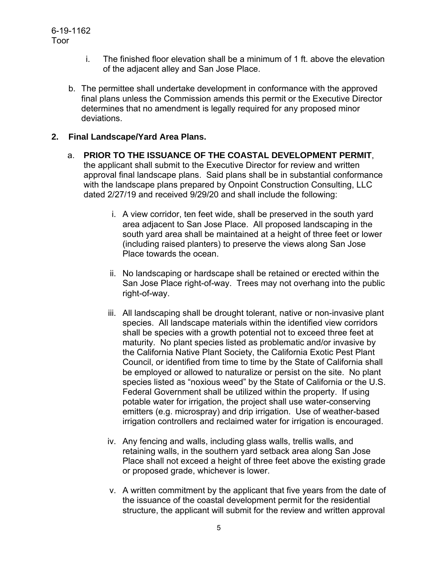- i. The finished floor elevation shall be a minimum of 1 ft. above the elevation of the adjacent alley and San Jose Place.
- b. The permittee shall undertake development in conformance with the approved final plans unless the Commission amends this permit or the Executive Director determines that no amendment is legally required for any proposed minor deviations.

#### **2. Final Landscape/Yard Area Plans.**

- a. **PRIOR TO THE ISSUANCE OF THE COASTAL DEVELOPMENT PERMIT**, the applicant shall submit to the Executive Director for review and written approval final landscape plans. Said plans shall be in substantial conformance with the landscape plans prepared by Onpoint Construction Consulting, LLC dated 2/27/19 and received 9/29/20 and shall include the following:
	- i. A view corridor, ten feet wide, shall be preserved in the south yard area adjacent to San Jose Place. All proposed landscaping in the south yard area shall be maintained at a height of three feet or lower (including raised planters) to preserve the views along San Jose Place towards the ocean.
	- ii. No landscaping or hardscape shall be retained or erected within the San Jose Place right-of-way. Trees may not overhang into the public right-of-way.
	- iii. All landscaping shall be drought tolerant, native or non-invasive plant species. All landscape materials within the identified view corridors shall be species with a growth potential not to exceed three feet at maturity. No plant species listed as problematic and/or invasive by the California Native Plant Society, the California Exotic Pest Plant Council, or identified from time to time by the State of California shall be employed or allowed to naturalize or persist on the site. No plant species listed as "noxious weed" by the State of California or the U.S. Federal Government shall be utilized within the property. If using potable water for irrigation, the project shall use water-conserving emitters (e.g. microspray) and drip irrigation. Use of weather-based irrigation controllers and reclaimed water for irrigation is encouraged.
	- iv. Any fencing and walls, including glass walls, trellis walls, and retaining walls, in the southern yard setback area along San Jose Place shall not exceed a height of three feet above the existing grade or proposed grade, whichever is lower.
	- v. A written commitment by the applicant that five years from the date of the issuance of the coastal development permit for the residential structure, the applicant will submit for the review and written approval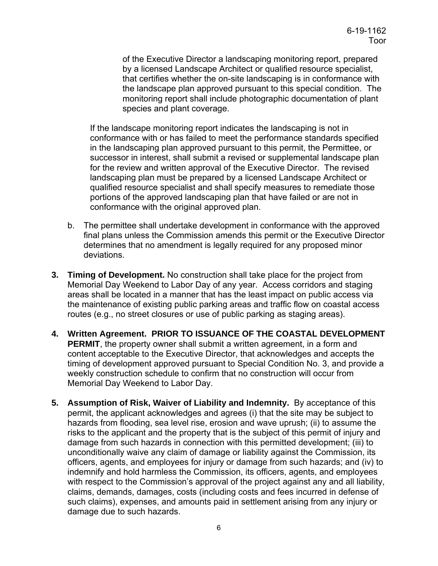of the Executive Director a landscaping monitoring report, prepared by a licensed Landscape Architect or qualified resource specialist, that certifies whether the on-site landscaping is in conformance with the landscape plan approved pursuant to this special condition. The monitoring report shall include photographic documentation of plant species and plant coverage.

If the landscape monitoring report indicates the landscaping is not in conformance with or has failed to meet the performance standards specified in the landscaping plan approved pursuant to this permit, the Permittee, or successor in interest, shall submit a revised or supplemental landscape plan for the review and written approval of the Executive Director. The revised landscaping plan must be prepared by a licensed Landscape Architect or qualified resource specialist and shall specify measures to remediate those portions of the approved landscaping plan that have failed or are not in conformance with the original approved plan.

- b. The permittee shall undertake development in conformance with the approved final plans unless the Commission amends this permit or the Executive Director determines that no amendment is legally required for any proposed minor deviations.
- **3. Timing of Development.** No construction shall take place for the project from Memorial Day Weekend to Labor Day of any year. Access corridors and staging areas shall be located in a manner that has the least impact on public access via the maintenance of existing public parking areas and traffic flow on coastal access routes (e.g., no street closures or use of public parking as staging areas).
- **4. Written Agreement. PRIOR TO ISSUANCE OF THE COASTAL DEVELOPMENT PERMIT**, the property owner shall submit a written agreement, in a form and content acceptable to the Executive Director, that acknowledges and accepts the timing of development approved pursuant to Special Condition No. 3, and provide a weekly construction schedule to confirm that no construction will occur from Memorial Day Weekend to Labor Day.
- **5. Assumption of Risk, Waiver of Liability and Indemnity.** By acceptance of this permit, the applicant acknowledges and agrees (i) that the site may be subject to hazards from flooding, sea level rise, erosion and wave uprush; (ii) to assume the risks to the applicant and the property that is the subject of this permit of injury and damage from such hazards in connection with this permitted development; (iii) to unconditionally waive any claim of damage or liability against the Commission, its officers, agents, and employees for injury or damage from such hazards; and (iv) to indemnify and hold harmless the Commission, its officers, agents, and employees with respect to the Commission's approval of the project against any and all liability, claims, demands, damages, costs (including costs and fees incurred in defense of such claims), expenses, and amounts paid in settlement arising from any injury or damage due to such hazards.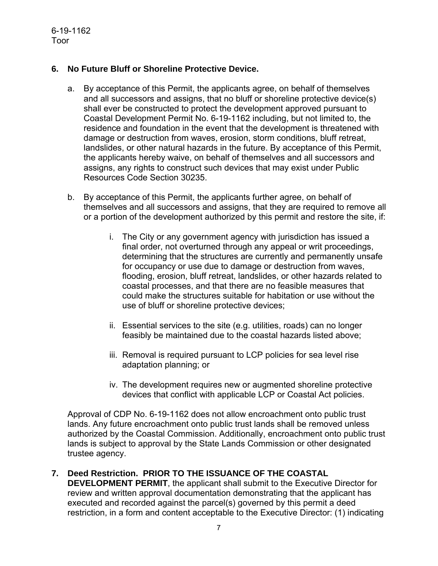#### **6. No Future Bluff or Shoreline Protective Device.**

- a. By acceptance of this Permit, the applicants agree, on behalf of themselves and all successors and assigns, that no bluff or shoreline protective device(s) shall ever be constructed to protect the development approved pursuant to Coastal Development Permit No. 6-19-1162 including, but not limited to, the residence and foundation in the event that the development is threatened with damage or destruction from waves, erosion, storm conditions, bluff retreat, landslides, or other natural hazards in the future. By acceptance of this Permit, the applicants hereby waive, on behalf of themselves and all successors and assigns, any rights to construct such devices that may exist under Public Resources Code Section 30235.
- b. By acceptance of this Permit, the applicants further agree, on behalf of themselves and all successors and assigns, that they are required to remove all or a portion of the development authorized by this permit and restore the site, if:
	- i. The City or any government agency with jurisdiction has issued a final order, not overturned through any appeal or writ proceedings, determining that the structures are currently and permanently unsafe for occupancy or use due to damage or destruction from waves, flooding, erosion, bluff retreat, landslides, or other hazards related to coastal processes, and that there are no feasible measures that could make the structures suitable for habitation or use without the use of bluff or shoreline protective devices;
	- ii. Essential services to the site (e.g. utilities, roads) can no longer feasibly be maintained due to the coastal hazards listed above;
	- iii. Removal is required pursuant to LCP policies for sea level rise adaptation planning; or
	- iv. The development requires new or augmented shoreline protective devices that conflict with applicable LCP or Coastal Act policies.

Approval of CDP No. 6-19-1162 does not allow encroachment onto public trust lands. Any future encroachment onto public trust lands shall be removed unless authorized by the Coastal Commission. Additionally, encroachment onto public trust lands is subject to approval by the State Lands Commission or other designated trustee agency.

#### **7. Deed Restriction. PRIOR TO THE ISSUANCE OF THE COASTAL**

**DEVELOPMENT PERMIT**, the applicant shall submit to the Executive Director for review and written approval documentation demonstrating that the applicant has executed and recorded against the parcel(s) governed by this permit a deed restriction, in a form and content acceptable to the Executive Director: (1) indicating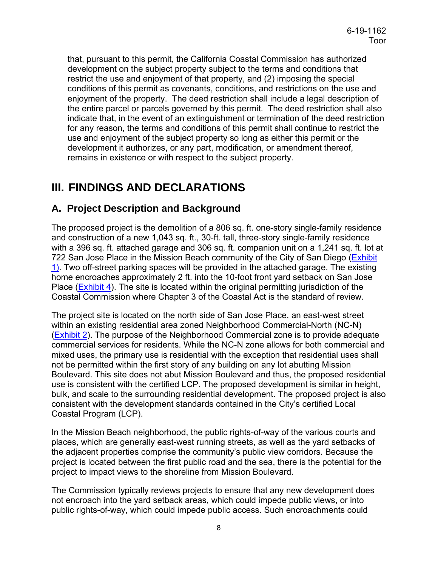that, pursuant to this permit, the California Coastal Commission has authorized development on the subject property subject to the terms and conditions that restrict the use and enjoyment of that property, and (2) imposing the special conditions of this permit as covenants, conditions, and restrictions on the use and enjoyment of the property. The deed restriction shall include a legal description of the entire parcel or parcels governed by this permit. The deed restriction shall also indicate that, in the event of an extinguishment or termination of the deed restriction for any reason, the terms and conditions of this permit shall continue to restrict the use and enjoyment of the subject property so long as either this permit or the development it authorizes, or any part, modification, or amendment thereof, remains in existence or with respect to the subject property.

# <span id="page-7-0"></span>**III. FINDINGS AND DECLARATIONS**

## <span id="page-7-1"></span>**A. Project Description and Background**

The proposed project is the demolition of a 806 sq. ft. one-story single-family residence and construction of a new 1,043 sq. ft., 30-ft. tall, three-story single-family residence with a 396 sq. ft. attached garage and 306 sq. ft. companion unit on a 1,241 sq. ft. lot at 722 San Jose Place in the Mission Beach community of the City of San Diego [\(Exhibit](https://documents.coastal.ca.gov/reports/2021/1/w7b/w7b-1-2021-exhibits.pdf)  [1\)](https://documents.coastal.ca.gov/reports/2021/1/w7b/w7b-1-2021-exhibits.pdf). Two off-street parking spaces will be provided in the attached garage. The existing home encroaches approximately 2 ft. into the 10-foot front yard setback on San Jose Place [\(Exhibit 4\)](https://documents.coastal.ca.gov/reports/2021/1/w7b/w7b-1-2021-exhibits.pdf). The site is located within the original permitting jurisdiction of the Coastal Commission where Chapter 3 of the Coastal Act is the standard of review.

The project site is located on the north side of San Jose Place, an east-west street within an existing residential area zoned Neighborhood Commercial-North (NC-N) [\(Exhibit 2\)](https://documents.coastal.ca.gov/reports/2021/1/w7b/w7b-1-2021-exhibits.pdf). The purpose of the Neighborhood Commercial zone is to provide adequate commercial services for residents. While the NC-N zone allows for both commercial and mixed uses, the primary use is residential with the exception that residential uses shall not be permitted within the first story of any building on any lot abutting Mission Boulevard. This site does not abut Mission Boulevard and thus, the proposed residential use is consistent with the certified LCP. The proposed development is similar in height, bulk, and scale to the surrounding residential development. The proposed project is also consistent with the development standards contained in the City's certified Local Coastal Program (LCP).

In the Mission Beach neighborhood, the public rights-of-way of the various courts and places, which are generally east-west running streets, as well as the yard setbacks of the adjacent properties comprise the community's public view corridors. Because the project is located between the first public road and the sea, there is the potential for the project to impact views to the shoreline from Mission Boulevard.

The Commission typically reviews projects to ensure that any new development does not encroach into the yard setback areas, which could impede public views, or into public rights-of-way, which could impede public access. Such encroachments could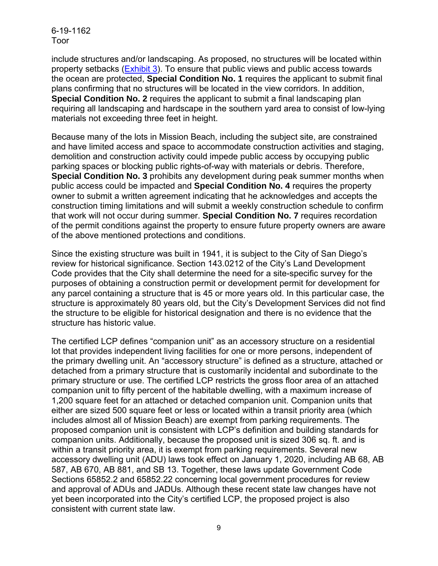include structures and/or landscaping. As proposed, no structures will be located within property setbacks [\(Exhibit 3\)](https://documents.coastal.ca.gov/reports/2021/1/w7b/w7b-1-2021-exhibits.pdf). To ensure that public views and public access towards the ocean are protected, **Special Condition No. 1** requires the applicant to submit final plans confirming that no structures will be located in the view corridors. In addition, **Special Condition No. 2** requires the applicant to submit a final landscaping plan requiring all landscaping and hardscape in the southern yard area to consist of low-lying materials not exceeding three feet in height.

Because many of the lots in Mission Beach, including the subject site, are constrained and have limited access and space to accommodate construction activities and staging, demolition and construction activity could impede public access by occupying public parking spaces or blocking public rights-of-way with materials or debris. Therefore, **Special Condition No. 3** prohibits any development during peak summer months when public access could be impacted and **Special Condition No. 4** requires the property owner to submit a written agreement indicating that he acknowledges and accepts the construction timing limitations and will submit a weekly construction schedule to confirm that work will not occur during summer. **Special Condition No. 7** requires recordation of the permit conditions against the property to ensure future property owners are aware of the above mentioned protections and conditions.

Since the existing structure was built in 1941, it is subject to the City of San Diego's review for historical significance. Section 143.0212 of the City's Land Development Code provides that the City shall determine the need for a site-specific survey for the purposes of obtaining a construction permit or development permit for development for any parcel containing a structure that is 45 or more years old. In this particular case, the structure is approximately 80 years old, but the City's Development Services did not find the structure to be eligible for historical designation and there is no evidence that the structure has historic value.

The certified LCP defines "companion unit" as an accessory structure on a residential lot that provides independent living facilities for one or more persons, independent of the primary dwelling unit. An "accessory structure" is defined as a structure, attached or detached from a primary structure that is customarily incidental and subordinate to the primary structure or use. The certified LCP restricts the gross floor area of an attached companion unit to fifty percent of the habitable dwelling, with a maximum increase of 1,200 square feet for an attached or detached companion unit. Companion units that either are sized 500 square feet or less or located within a transit priority area (which includes almost all of Mission Beach) are exempt from parking requirements. The proposed companion unit is consistent with LCP's definition and building standards for companion units. Additionally, because the proposed unit is sized 306 sq. ft. and is within a transit priority area, it is exempt from parking requirements. Several new accessory dwelling unit (ADU) laws took effect on January 1, 2020, including AB 68, AB 587, AB 670, AB 881, and SB 13. Together, these laws update Government Code Sections 65852.2 and 65852.22 concerning local government procedures for review and approval of ADUs and JADUs. Although these recent state law changes have not yet been incorporated into the City's certified LCP, the proposed project is also consistent with current state law.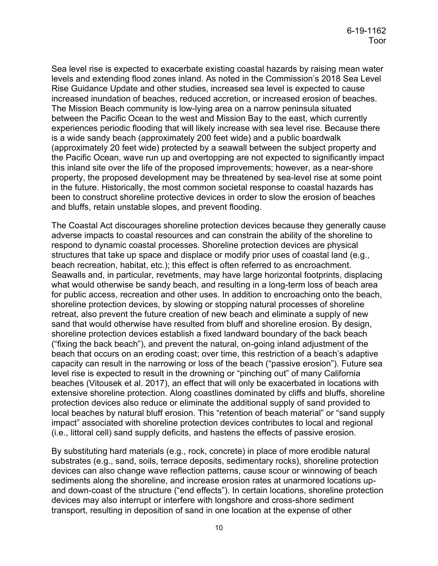Sea level rise is expected to exacerbate existing coastal hazards by raising mean water levels and extending flood zones inland. As noted in the Commission's 2018 Sea Level Rise Guidance Update and other studies, increased sea level is expected to cause increased inundation of beaches, reduced accretion, or increased erosion of beaches. The Mission Beach community is low-lying area on a narrow peninsula situated between the Pacific Ocean to the west and Mission Bay to the east, which currently experiences periodic flooding that will likely increase with sea level rise. Because there is a wide sandy beach (approximately 200 feet wide) and a public boardwalk (approximately 20 feet wide) protected by a seawall between the subject property and the Pacific Ocean, wave run up and overtopping are not expected to significantly impact this inland site over the life of the proposed improvements; however, as a near-shore property, the proposed development may be threatened by sea-level rise at some point in the future. Historically, the most common societal response to coastal hazards has been to construct shoreline protective devices in order to slow the erosion of beaches and bluffs, retain unstable slopes, and prevent flooding.

The Coastal Act discourages shoreline protection devices because they generally cause adverse impacts to coastal resources and can constrain the ability of the shoreline to respond to dynamic coastal processes. Shoreline protection devices are physical structures that take up space and displace or modify prior uses of coastal land (e.g., beach recreation, habitat, etc.); this effect is often referred to as encroachment. Seawalls and, in particular, revetments, may have large horizontal footprints, displacing what would otherwise be sandy beach, and resulting in a long-term loss of beach area for public access, recreation and other uses. In addition to encroaching onto the beach, shoreline protection devices, by slowing or stopping natural processes of shoreline retreat, also prevent the future creation of new beach and eliminate a supply of new sand that would otherwise have resulted from bluff and shoreline erosion. By design, shoreline protection devices establish a fixed landward boundary of the back beach ("fixing the back beach"), and prevent the natural, on-going inland adjustment of the beach that occurs on an eroding coast; over time, this restriction of a beach's adaptive capacity can result in the narrowing or loss of the beach ("passive erosion"). Future sea level rise is expected to result in the drowning or "pinching out" of many California beaches (Vitousek et al. 2017), an effect that will only be exacerbated in locations with extensive shoreline protection. Along coastlines dominated by cliffs and bluffs, shoreline protection devices also reduce or eliminate the additional supply of sand provided to local beaches by natural bluff erosion. This "retention of beach material" or "sand supply impact" associated with shoreline protection devices contributes to local and regional (i.e., littoral cell) sand supply deficits, and hastens the effects of passive erosion.

By substituting hard materials (e.g., rock, concrete) in place of more erodible natural substrates (e.g., sand, soils, terrace deposits, sedimentary rocks), shoreline protection devices can also change wave reflection patterns, cause scour or winnowing of beach sediments along the shoreline, and increase erosion rates at unarmored locations upand down-coast of the structure ("end effects"). In certain locations, shoreline protection devices may also interrupt or interfere with longshore and cross-shore sediment transport, resulting in deposition of sand in one location at the expense of other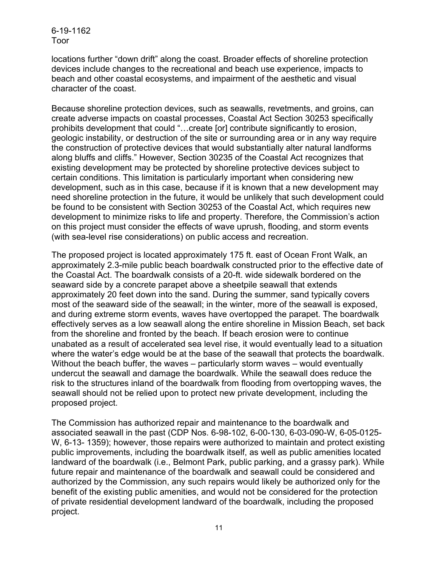locations further "down drift" along the coast. Broader effects of shoreline protection devices include changes to the recreational and beach use experience, impacts to beach and other coastal ecosystems, and impairment of the aesthetic and visual character of the coast.

Because shoreline protection devices, such as seawalls, revetments, and groins, can create adverse impacts on coastal processes, Coastal Act Section 30253 specifically prohibits development that could "…create [or] contribute significantly to erosion, geologic instability, or destruction of the site or surrounding area or in any way require the construction of protective devices that would substantially alter natural landforms along bluffs and cliffs." However, Section 30235 of the Coastal Act recognizes that existing development may be protected by shoreline protective devices subject to certain conditions. This limitation is particularly important when considering new development, such as in this case, because if it is known that a new development may need shoreline protection in the future, it would be unlikely that such development could be found to be consistent with Section 30253 of the Coastal Act, which requires new development to minimize risks to life and property. Therefore, the Commission's action on this project must consider the effects of wave uprush, flooding, and storm events (with sea-level rise considerations) on public access and recreation.

The proposed project is located approximately 175 ft. east of Ocean Front Walk, an approximately 2.3-mile public beach boardwalk constructed prior to the effective date of the Coastal Act. The boardwalk consists of a 20-ft. wide sidewalk bordered on the seaward side by a concrete parapet above a sheetpile seawall that extends approximately 20 feet down into the sand. During the summer, sand typically covers most of the seaward side of the seawall; in the winter, more of the seawall is exposed, and during extreme storm events, waves have overtopped the parapet. The boardwalk effectively serves as a low seawall along the entire shoreline in Mission Beach, set back from the shoreline and fronted by the beach. If beach erosion were to continue unabated as a result of accelerated sea level rise, it would eventually lead to a situation where the water's edge would be at the base of the seawall that protects the boardwalk. Without the beach buffer, the waves – particularly storm waves – would eventually undercut the seawall and damage the boardwalk. While the seawall does reduce the risk to the structures inland of the boardwalk from flooding from overtopping waves, the seawall should not be relied upon to protect new private development, including the proposed project.

The Commission has authorized repair and maintenance to the boardwalk and associated seawall in the past (CDP Nos. 6-98-102, 6-00-130, 6-03-090-W, 6-05-0125- W, 6-13- 1359); however, those repairs were authorized to maintain and protect existing public improvements, including the boardwalk itself, as well as public amenities located landward of the boardwalk (i.e., Belmont Park, public parking, and a grassy park). While future repair and maintenance of the boardwalk and seawall could be considered and authorized by the Commission, any such repairs would likely be authorized only for the benefit of the existing public amenities, and would not be considered for the protection of private residential development landward of the boardwalk, including the proposed project.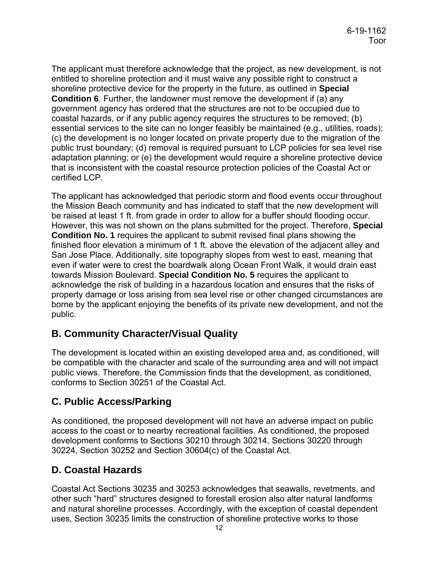The applicant must therefore acknowledge that the project, as new development, is not entitled to shoreline protection and it must waive any possible right to construct a shoreline protective device for the property in the future, as outlined in **Special Condition 6**. Further, the landowner must remove the development if (a) any government agency has ordered that the structures are not to be occupied due to coastal hazards, or if any public agency requires the structures to be removed; (b) essential services to the site can no longer feasibly be maintained (e.g., utilities, roads); (c) the development is no longer located on private property due to the migration of the public trust boundary; (d) removal is required pursuant to LCP policies for sea level rise adaptation planning; or (e) the development would require a shoreline protective device that is inconsistent with the coastal resource protection policies of the Coastal Act or certified LCP.

The applicant has acknowledged that periodic storm and flood events occur throughout the Mission Beach community and has indicated to staff that the new development will be raised at least 1 ft. from grade in order to allow for a buffer should flooding occur. However, this was not shown on the plans submitted for the project. Therefore, **Special Condition No. 1** requires the applicant to submit revised final plans showing the finished floor elevation a minimum of 1 ft. above the elevation of the adjacent alley and San Jose Place. Additionally, site topography slopes from west to east, meaning that even if water were to crest the boardwalk along Ocean Front Walk, it would drain east towards Mission Boulevard. **Special Condition No. 5** requires the applicant to acknowledge the risk of building in a hazardous location and ensures that the risks of property damage or loss arising from sea level rise or other changed circumstances are borne by the applicant enjoying the benefits of its private new development, and not the public.

## <span id="page-11-0"></span>**B. Community Character/Visual Quality**

The development is located within an existing developed area and, as conditioned, will be compatible with the character and scale of the surrounding area and will not impact public views. Therefore, the Commission finds that the development, as conditioned, conforms to Section 30251 of the Coastal Act.

## <span id="page-11-1"></span>**C. Public Access/Parking**

As conditioned, the proposed development will not have an adverse impact on public access to the coast or to nearby recreational facilities. As conditioned, the proposed development conforms to Sections 30210 through 30214, Sections 30220 through 30224, Section 30252 and Section 30604(c) of the Coastal Act.

## <span id="page-11-2"></span>**D. Coastal Hazards**

Coastal Act Sections 30235 and 30253 acknowledges that seawalls, revetments, and other such "hard" structures designed to forestall erosion also alter natural landforms and natural shoreline processes. Accordingly, with the exception of coastal dependent uses, Section 30235 limits the construction of shoreline protective works to those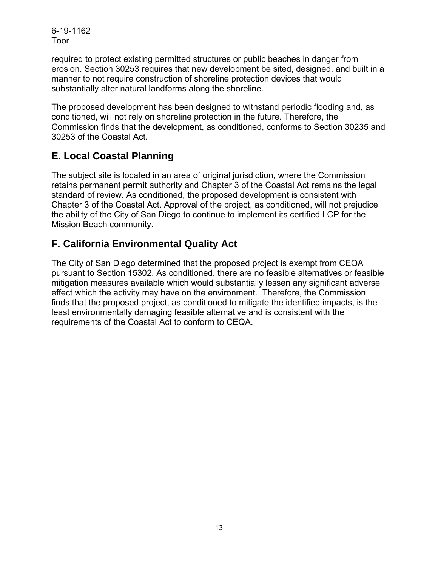required to protect existing permitted structures or public beaches in danger from erosion. Section 30253 requires that new development be sited, designed, and built in a manner to not require construction of shoreline protection devices that would substantially alter natural landforms along the shoreline.

The proposed development has been designed to withstand periodic flooding and, as conditioned, will not rely on shoreline protection in the future. Therefore, the Commission finds that the development, as conditioned, conforms to Section 30235 and 30253 of the Coastal Act.

## <span id="page-12-0"></span>**E. Local Coastal Planning**

The subject site is located in an area of original jurisdiction, where the Commission retains permanent permit authority and Chapter 3 of the Coastal Act remains the legal standard of review. As conditioned, the proposed development is consistent with Chapter 3 of the Coastal Act. Approval of the project, as conditioned, will not prejudice the ability of the City of San Diego to continue to implement its certified LCP for the Mission Beach community.

## <span id="page-12-1"></span>**F. California Environmental Quality Act**

The City of San Diego determined that the proposed project is exempt from CEQA pursuant to Section 15302. As conditioned, there are no feasible alternatives or feasible mitigation measures available which would substantially lessen any significant adverse effect which the activity may have on the environment. Therefore, the Commission finds that the proposed project, as conditioned to mitigate the identified impacts, is the least environmentally damaging feasible alternative and is consistent with the requirements of the Coastal Act to conform to CEQA.